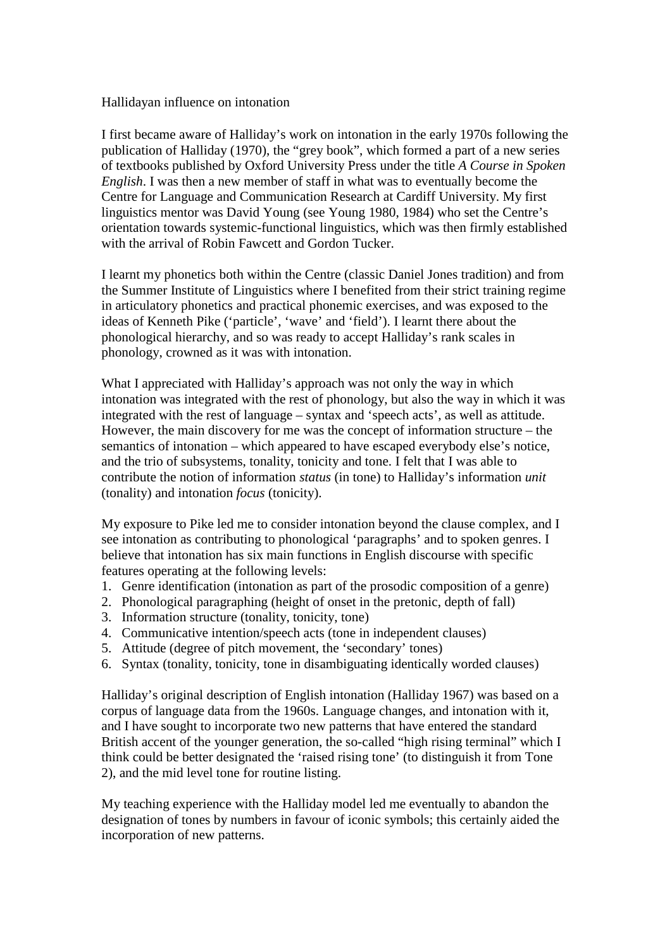## Hallidayan influence on intonation

I first became aware of Halliday's work on intonation in the early 1970s following the publication of Halliday (1970), the "grey book", which formed a part of a new series of textbooks published by Oxford University Press under the title *A Course in Spoken English*. I was then a new member of staff in what was to eventually become the Centre for Language and Communication Research at Cardiff University. My first linguistics mentor was David Young (see Young 1980, 1984) who set the Centre's orientation towards systemic-functional linguistics, which was then firmly established with the arrival of Robin Fawcett and Gordon Tucker.

I learnt my phonetics both within the Centre (classic Daniel Jones tradition) and from the Summer Institute of Linguistics where I benefited from their strict training regime in articulatory phonetics and practical phonemic exercises, and was exposed to the ideas of Kenneth Pike ('particle', 'wave' and 'field'). I learnt there about the phonological hierarchy, and so was ready to accept Halliday's rank scales in phonology, crowned as it was with intonation.

What I appreciated with Halliday's approach was not only the way in which intonation was integrated with the rest of phonology, but also the way in which it was integrated with the rest of language – syntax and 'speech acts', as well as attitude. However, the main discovery for me was the concept of information structure – the semantics of intonation – which appeared to have escaped everybody else's notice, and the trio of subsystems, tonality, tonicity and tone. I felt that I was able to contribute the notion of information *status* (in tone) to Halliday's information *unit* (tonality) and intonation *focus* (tonicity).

My exposure to Pike led me to consider intonation beyond the clause complex, and I see intonation as contributing to phonological 'paragraphs' and to spoken genres. I believe that intonation has six main functions in English discourse with specific features operating at the following levels:

- 1. Genre identification (intonation as part of the prosodic composition of a genre)
- 2. Phonological paragraphing (height of onset in the pretonic, depth of fall)
- 3. Information structure (tonality, tonicity, tone)
- 4. Communicative intention/speech acts (tone in independent clauses)
- 5. Attitude (degree of pitch movement, the 'secondary' tones)
- 6. Syntax (tonality, tonicity, tone in disambiguating identically worded clauses)

Halliday's original description of English intonation (Halliday 1967) was based on a corpus of language data from the 1960s. Language changes, and intonation with it, and I have sought to incorporate two new patterns that have entered the standard British accent of the younger generation, the so-called "high rising terminal" which I think could be better designated the 'raised rising tone' (to distinguish it from Tone 2), and the mid level tone for routine listing.

My teaching experience with the Halliday model led me eventually to abandon the designation of tones by numbers in favour of iconic symbols; this certainly aided the incorporation of new patterns.